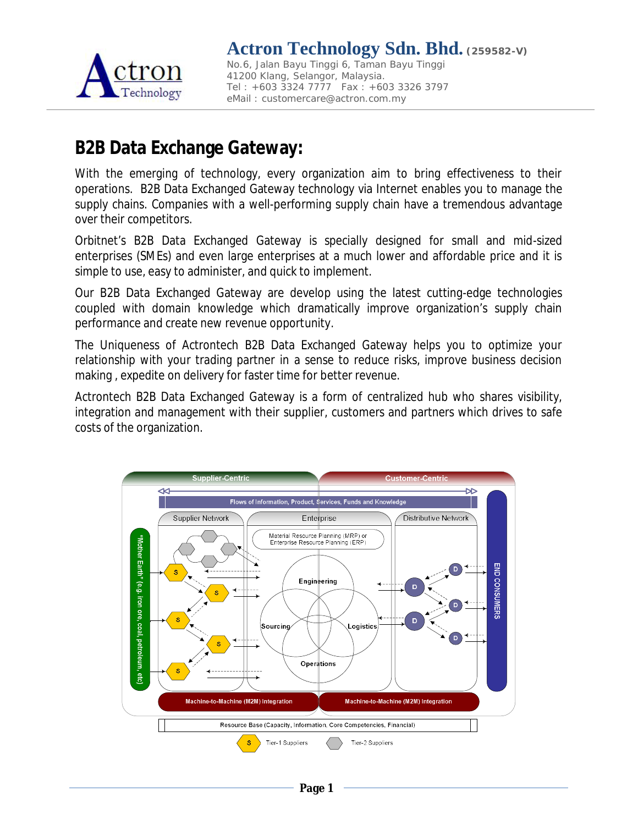

## **B2B Data Exchange Gateway:**

With the emerging of technology, every organization aim to bring effectiveness to their operations. B2B Data Exchanged Gateway technology via Internet enables you to manage the supply chains. Companies with a well-performing supply chain have a tremendous advantage over their competitors.

Orbitnet's B2B Data Exchanged Gateway is specially designed for small and mid-sized enterprises (SMEs) and even large enterprises at a much lower and affordable price and it is simple to use, easy to administer, and quick to implement.

Our B2B Data Exchanged Gateway are develop using the latest cutting-edge technologies coupled with domain knowledge which dramatically improve organization's supply chain performance and create new revenue opportunity.

The Uniqueness of Actrontech B2B Data Exchanged Gateway helps you to optimize your relationship with your trading partner in a sense to reduce risks, improve business decision making , expedite on delivery for faster time for better revenue.

Actrontech B2B Data Exchanged Gateway is a form of centralized hub who shares visibility, integration and management with their supplier, customers and partners which drives to safe costs of the organization.